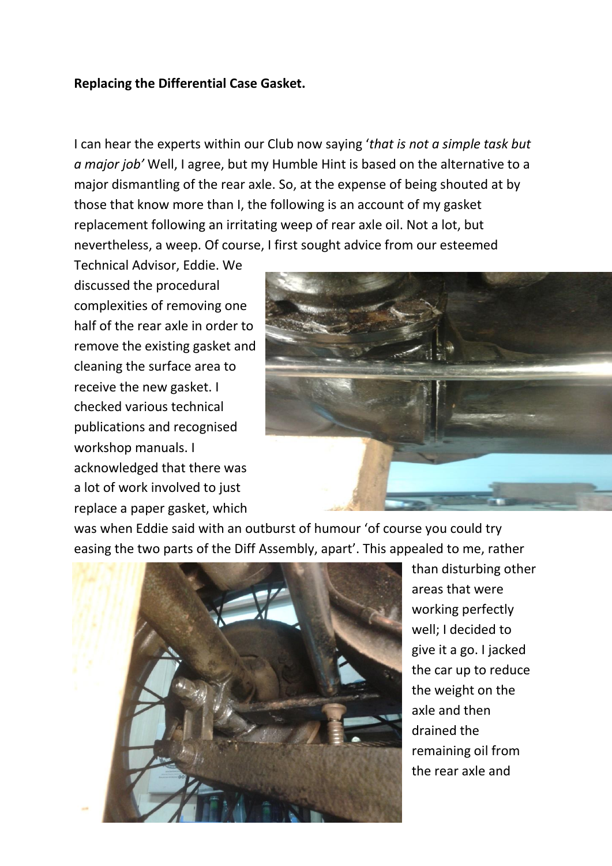## **Replacing the Differential Case Gasket.**

I can hear the experts within our Club now saying '*that is not a simple task but a major job'* Well, I agree, but my Humble Hint is based on the alternative to a major dismantling of the rear axle. So, at the expense of being shouted at by those that know more than I, the following is an account of my gasket replacement following an irritating weep of rear axle oil. Not a lot, but nevertheless, a weep. Of course, I first sought advice from our esteemed

Technical Advisor, Eddie. We discussed the procedural complexities of removing one half of the rear axle in order to remove the existing gasket and cleaning the surface area to receive the new gasket. I checked various technical publications and recognised workshop manuals. I acknowledged that there was a lot of work involved to just replace a paper gasket, which



was when Eddie said with an outburst of humour 'of course you could try easing the two parts of the Diff Assembly, apart'. This appealed to me, rather



than disturbing other areas that were working perfectly well; I decided to give it a go. I jacked the car up to reduce the weight on the axle and then drained the remaining oil from the rear axle and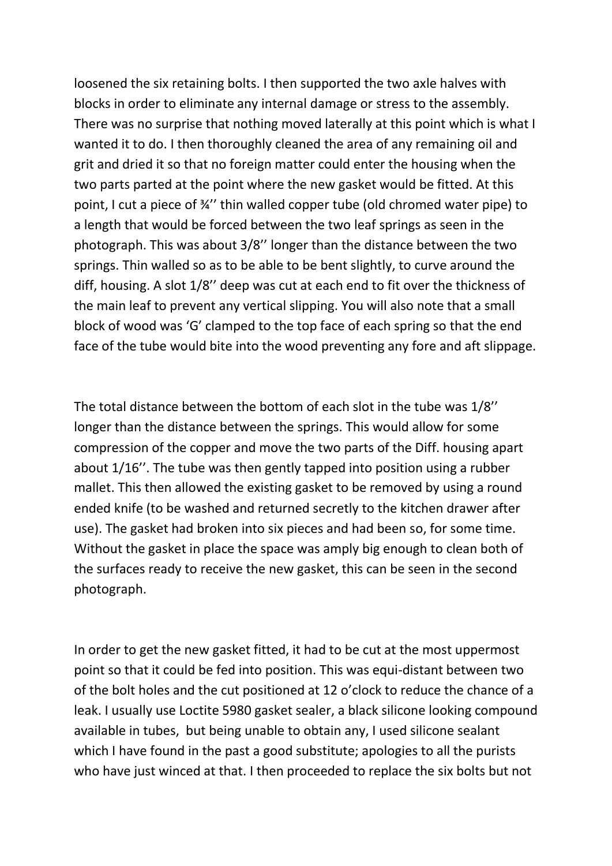loosened the six retaining bolts. I then supported the two axle halves with blocks in order to eliminate any internal damage or stress to the assembly. There was no surprise that nothing moved laterally at this point which is what I wanted it to do. I then thoroughly cleaned the area of any remaining oil and grit and dried it so that no foreign matter could enter the housing when the two parts parted at the point where the new gasket would be fitted. At this point, I cut a piece of ¾'' thin walled copper tube (old chromed water pipe) to a length that would be forced between the two leaf springs as seen in the photograph. This was about 3/8'' longer than the distance between the two springs. Thin walled so as to be able to be bent slightly, to curve around the diff, housing. A slot 1/8'' deep was cut at each end to fit over the thickness of the main leaf to prevent any vertical slipping. You will also note that a small block of wood was 'G' clamped to the top face of each spring so that the end face of the tube would bite into the wood preventing any fore and aft slippage.

The total distance between the bottom of each slot in the tube was 1/8'' longer than the distance between the springs. This would allow for some compression of the copper and move the two parts of the Diff. housing apart about 1/16''. The tube was then gently tapped into position using a rubber mallet. This then allowed the existing gasket to be removed by using a round ended knife (to be washed and returned secretly to the kitchen drawer after use). The gasket had broken into six pieces and had been so, for some time. Without the gasket in place the space was amply big enough to clean both of the surfaces ready to receive the new gasket, this can be seen in the second photograph.

In order to get the new gasket fitted, it had to be cut at the most uppermost point so that it could be fed into position. This was equi-distant between two of the bolt holes and the cut positioned at 12 o'clock to reduce the chance of a leak. I usually use Loctite 5980 gasket sealer, a black silicone looking compound available in tubes, but being unable to obtain any, I used silicone sealant which I have found in the past a good substitute; apologies to all the purists who have just winced at that. I then proceeded to replace the six bolts but not